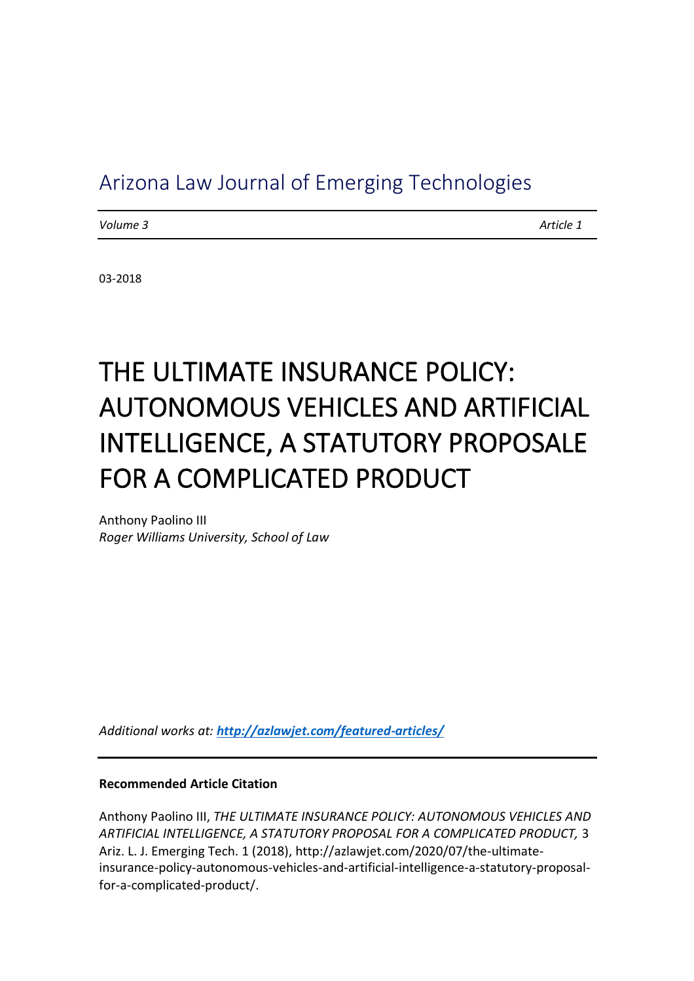# Arizona Law Journal of Emerging Technologies

*Volume 3 Article 1*

03-2018

# THE ULTIMATE INSURANCE POLICY: AUTONOMOUS VEHICLES AND ARTIFICIAL INTELLIGENCE, A STATUTORY PROPOSALE FOR A COMPLICATED PRODUCT

Anthony Paolino III *Roger Williams University, School of Law*

*Additional works at: <http://azlawjet.com/featured-articles/>*

#### **Recommended Article Citation**

Anthony Paolino III, *THE ULTIMATE INSURANCE POLICY: AUTONOMOUS VEHICLES AND ARTIFICIAL INTELLIGENCE, A STATUTORY PROPOSAL FOR A COMPLICATED PRODUCT,* 3 Ariz. L. J. Emerging Tech. 1 (2018), http://azlawjet.com/2020/07/the-ultimateinsurance-policy-autonomous-vehicles-and-artificial-intelligence-a-statutory-proposalfor-a-complicated-product/.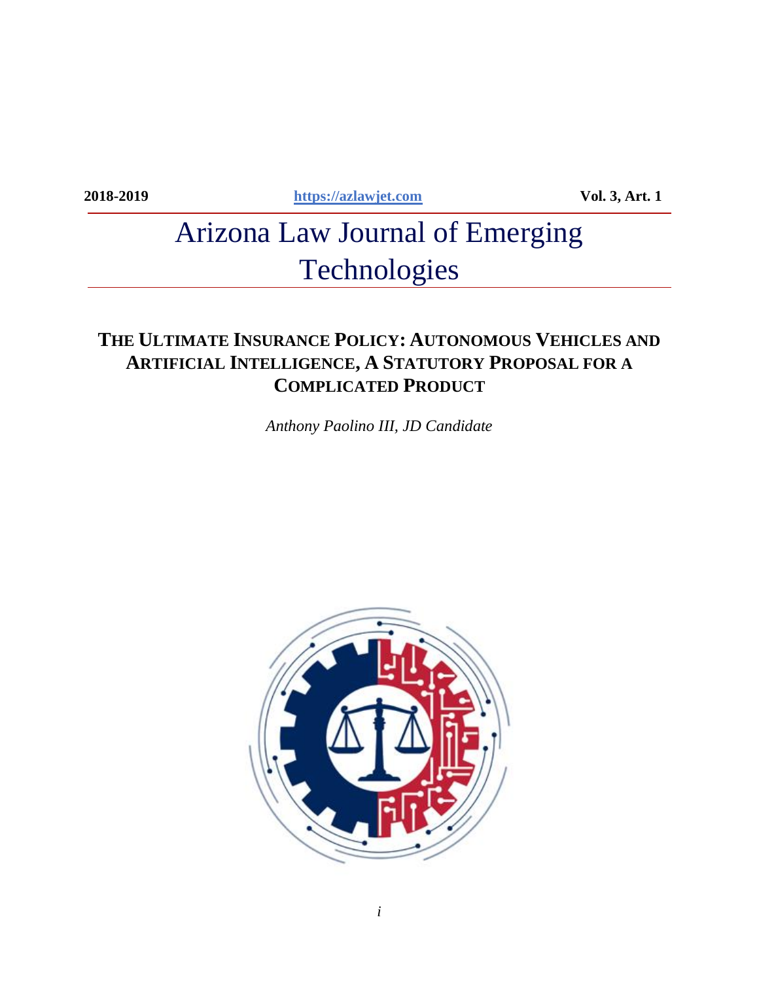**2018-2019 [https://azlawjet.com](https://azlawjet.com/) Vol. 3, Art. 1**

# Arizona Law Journal of Emerging Technologies

# **THE ULTIMATE INSURANCE POLICY: AUTONOMOUS VEHICLES AND ARTIFICIAL INTELLIGENCE, A STATUTORY PROPOSAL FOR A COMPLICATED PRODUCT**

*Anthony Paolino III, JD Candidate*

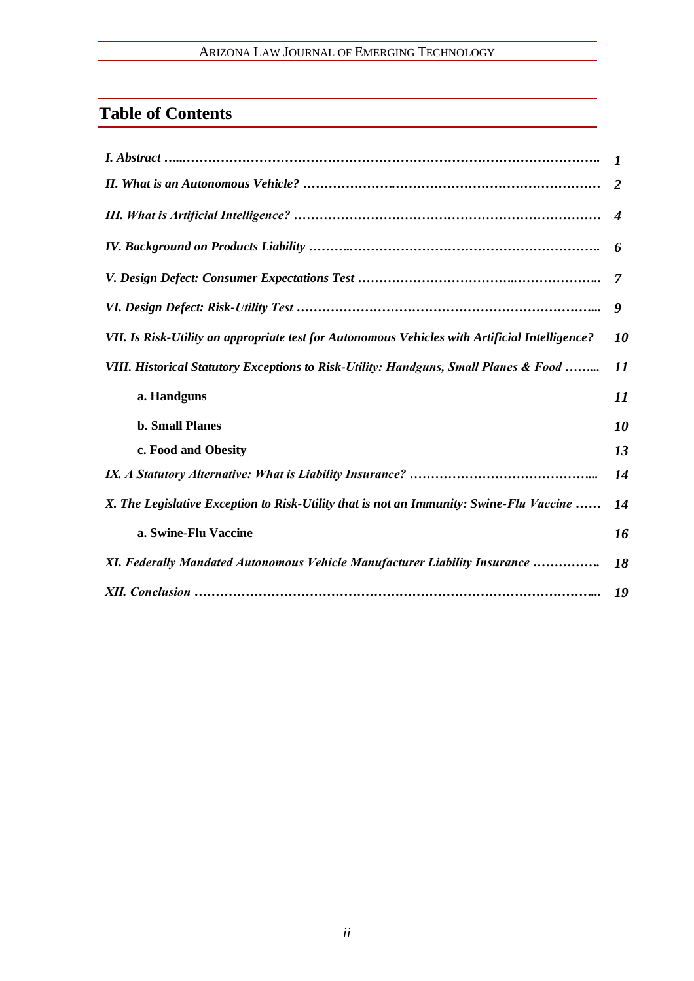## ARIZONA LAW JOURNAL OF EMERGING TECHNOLOGY

# **Table of Contents**

|                                                                                                | 2                           |
|------------------------------------------------------------------------------------------------|-----------------------------|
|                                                                                                | $\boldsymbol{\vartriangle}$ |
|                                                                                                | 6                           |
|                                                                                                | 7                           |
|                                                                                                | 9                           |
| VII. Is Risk-Utility an appropriate test for Autonomous Vehicles with Artificial Intelligence? | 10                          |
| VIII. Historical Statutory Exceptions to Risk-Utility: Handguns, Small Planes & Food           | 11                          |
| a. Handguns                                                                                    | 11                          |
| <b>b. Small Planes</b>                                                                         | 10                          |
| c. Food and Obesity                                                                            | 13                          |
|                                                                                                | 14                          |
| X. The Legislative Exception to Risk-Utility that is not an Immunity: Swine-Flu Vaccine        | 14                          |
| a. Swine-Flu Vaccine                                                                           | 16                          |
| XI. Federally Mandated Autonomous Vehicle Manufacturer Liability Insurance                     | 18                          |
|                                                                                                | 19                          |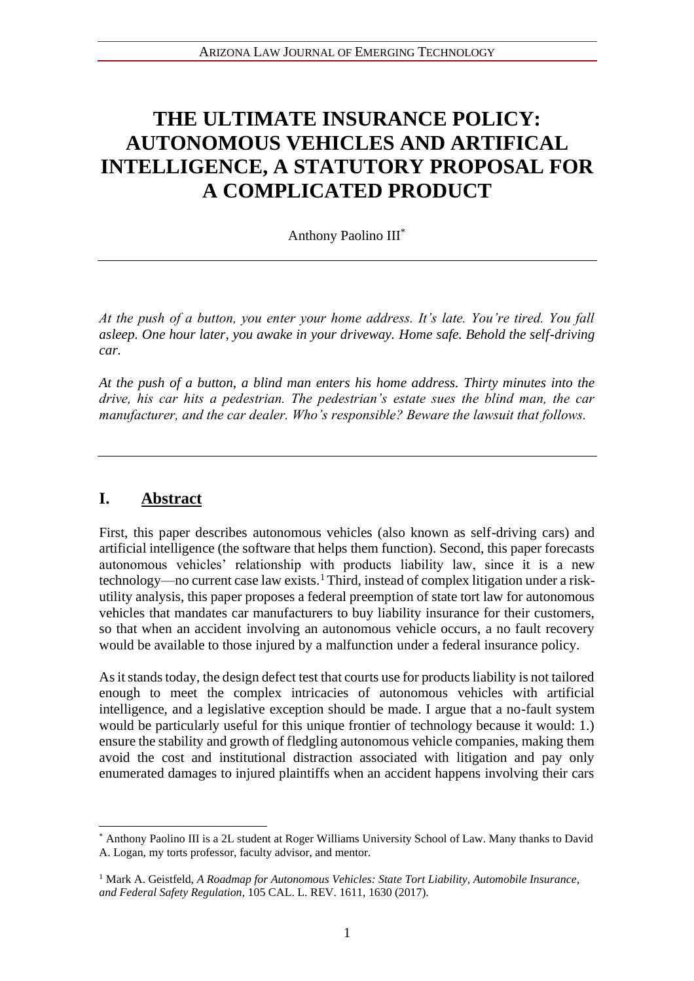# **THE ULTIMATE INSURANCE POLICY: AUTONOMOUS VEHICLES AND ARTIFICAL INTELLIGENCE, A STATUTORY PROPOSAL FOR A COMPLICATED PRODUCT**

Anthony Paolino III\*

*At the push of a button, you enter your home address. It's late. You're tired. You fall asleep. One hour later, you awake in your driveway. Home safe. Behold the self-driving car.* 

*At the push of a button, a blind man enters his home address. Thirty minutes into the drive, his car hits a pedestrian. The pedestrian's estate sues the blind man, the car manufacturer, and the car dealer. Who's responsible? Beware the lawsuit that follows.* 

## **I. Abstract**

First, this paper describes autonomous vehicles (also known as self-driving cars) and artificial intelligence (the software that helps them function). Second, this paper forecasts autonomous vehicles' relationship with products liability law, since it is a new technology—no current case law exists.<sup>1</sup>Third, instead of complex litigation under a riskutility analysis, this paper proposes a federal preemption of state tort law for autonomous vehicles that mandates car manufacturers to buy liability insurance for their customers, so that when an accident involving an autonomous vehicle occurs, a no fault recovery would be available to those injured by a malfunction under a federal insurance policy.

As it stands today, the design defect test that courts use for products liability is not tailored enough to meet the complex intricacies of autonomous vehicles with artificial intelligence, and a legislative exception should be made. I argue that a no-fault system would be particularly useful for this unique frontier of technology because it would: 1.) ensure the stability and growth of fledgling autonomous vehicle companies, making them avoid the cost and institutional distraction associated with litigation and pay only enumerated damages to injured plaintiffs when an accident happens involving their cars

<sup>\*</sup> Anthony Paolino III is a 2L student at Roger Williams University School of Law. Many thanks to David A. Logan, my torts professor, faculty advisor, and mentor.

<sup>1</sup> Mark A. Geistfeld, *A Roadmap for Autonomous Vehicles: State Tort Liability, Automobile Insurance, and Federal Safety Regulation*, 105 CAL. L. REV. 1611, 1630 (2017).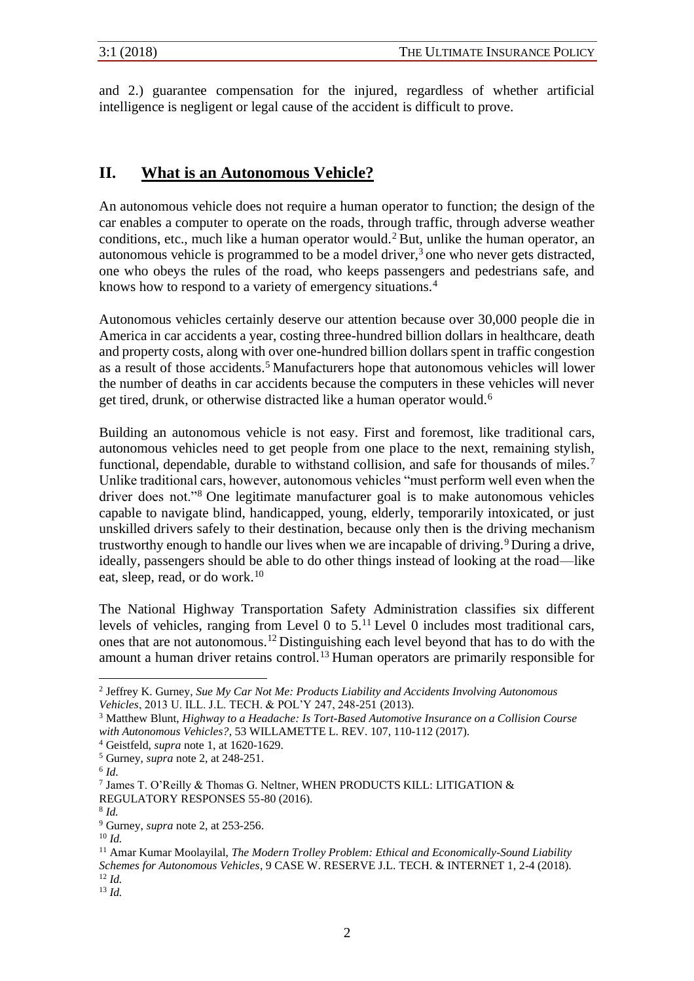and 2.) guarantee compensation for the injured, regardless of whether artificial intelligence is negligent or legal cause of the accident is difficult to prove.

## **II. What is an Autonomous Vehicle?**

An autonomous vehicle does not require a human operator to function; the design of the car enables a computer to operate on the roads, through traffic, through adverse weather conditions, etc., much like a human operator would.<sup>2</sup> But, unlike the human operator, an autonomous vehicle is programmed to be a model driver,<sup>3</sup> one who never gets distracted, one who obeys the rules of the road, who keeps passengers and pedestrians safe, and knows how to respond to a variety of emergency situations.<sup>4</sup>

Autonomous vehicles certainly deserve our attention because over 30,000 people die in America in car accidents a year, costing three-hundred billion dollars in healthcare, death and property costs, along with over one-hundred billion dollars spent in traffic congestion as a result of those accidents.<sup>5</sup> Manufacturers hope that autonomous vehicles will lower the number of deaths in car accidents because the computers in these vehicles will never get tired, drunk, or otherwise distracted like a human operator would.<sup>6</sup>

Building an autonomous vehicle is not easy. First and foremost, like traditional cars, autonomous vehicles need to get people from one place to the next, remaining stylish, functional, dependable, durable to withstand collision, and safe for thousands of miles.<sup>7</sup> Unlike traditional cars, however, autonomous vehicles "must perform well even when the driver does not."<sup>8</sup> One legitimate manufacturer goal is to make autonomous vehicles capable to navigate blind, handicapped, young, elderly, temporarily intoxicated, or just unskilled drivers safely to their destination, because only then is the driving mechanism trustworthy enough to handle our lives when we are incapable of driving.<sup>9</sup> During a drive, ideally, passengers should be able to do other things instead of looking at the road—like eat, sleep, read, or do work.<sup>10</sup>

The National Highway Transportation Safety Administration classifies six different levels of vehicles, ranging from Level 0 to  $5<sup>11</sup>$  Level 0 includes most traditional cars, ones that are not autonomous.<sup>12</sup> Distinguishing each level beyond that has to do with the amount a human driver retains control.<sup>13</sup> Human operators are primarily responsible for

<sup>2</sup> Jeffrey K. Gurney, *Sue My Car Not Me: Products Liability and Accidents Involving Autonomous Vehicles*, 2013 U. ILL. J.L. TECH. & POL'Y 247, 248-251 (2013).

<sup>3</sup> Matthew Blunt, *Highway to a Headache: Is Tort-Based Automotive Insurance on a Collision Course with Autonomous Vehicles?*, 53 WILLAMETTE L. REV. 107, 110-112 (2017).

<sup>4</sup> Geistfeld, *supra* note 1, at 1620-1629.

<sup>5</sup> Gurney, *supra* note 2, at 248-251.

<sup>6</sup> *Id*.

<sup>7</sup> James T. O'Reilly & Thomas G. Neltner, WHEN PRODUCTS KILL: LITIGATION & REGULATORY RESPONSES 55-80 (2016).

<sup>8</sup> *Id.*

<sup>9</sup> Gurney, *supra* note 2, at 253-256.

<sup>10</sup> *Id.*

<sup>11</sup> Amar Kumar Moolayilal, *The Modern Trolley Problem: Ethical and Economically-Sound Liability Schemes for Autonomous Vehicles*, 9 CASE W. RESERVE J.L. TECH. & INTERNET 1, 2-4 (2018). <sup>12</sup> *Id.*

<sup>13</sup> *Id.*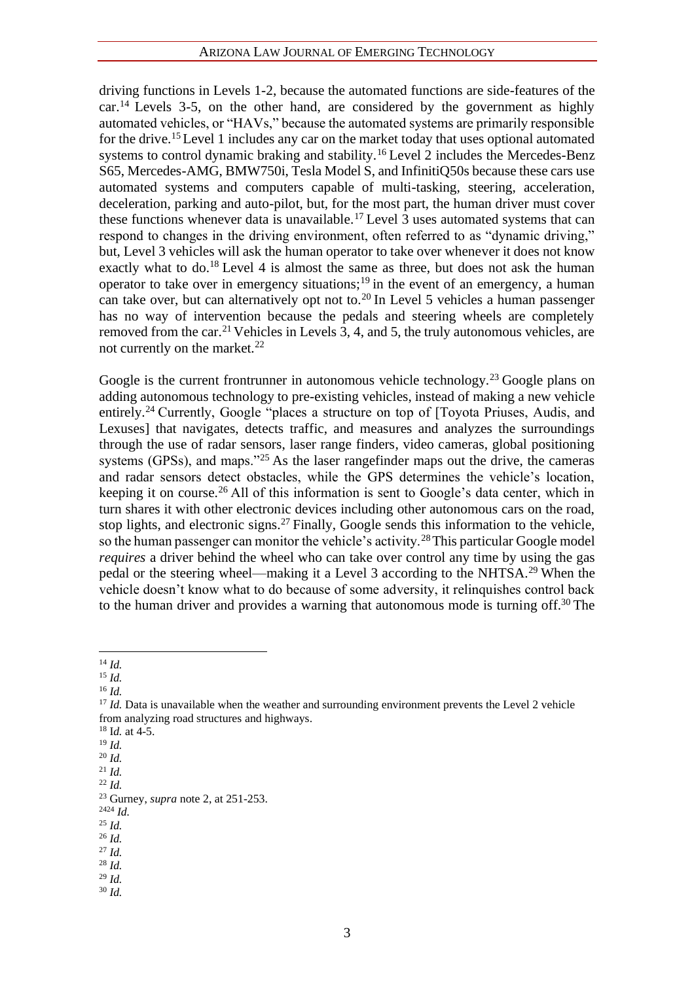driving functions in Levels 1-2, because the automated functions are side-features of the  $car<sup>14</sup>$  Levels 3-5, on the other hand, are considered by the government as highly automated vehicles, or "HAVs," because the automated systems are primarily responsible for the drive.<sup>15</sup> Level 1 includes any car on the market today that uses optional automated systems to control dynamic braking and stability.<sup>16</sup> Level 2 includes the Mercedes-Benz S65, Mercedes-AMG, BMW750i, Tesla Model S, and InfinitiQ50s because these cars use automated systems and computers capable of multi-tasking, steering, acceleration, deceleration, parking and auto-pilot, but, for the most part, the human driver must cover these functions whenever data is unavailable.<sup>17</sup> Level 3 uses automated systems that can respond to changes in the driving environment, often referred to as "dynamic driving," but, Level 3 vehicles will ask the human operator to take over whenever it does not know exactly what to do.<sup>18</sup> Level 4 is almost the same as three, but does not ask the human operator to take over in emergency situations;<sup>19</sup> in the event of an emergency, a human can take over, but can alternatively opt not to.<sup>20</sup> In Level 5 vehicles a human passenger has no way of intervention because the pedals and steering wheels are completely removed from the car.<sup>21</sup> Vehicles in Levels 3, 4, and 5, the truly autonomous vehicles, are not currently on the market.<sup>22</sup>

Google is the current frontrunner in autonomous vehicle technology.<sup>23</sup> Google plans on adding autonomous technology to pre-existing vehicles, instead of making a new vehicle entirely.<sup>24</sup> Currently, Google "places a structure on top of [Toyota Priuses, Audis, and Lexuses] that navigates, detects traffic, and measures and analyzes the surroundings through the use of radar sensors, laser range finders, video cameras, global positioning systems (GPSs), and maps."<sup>25</sup> As the laser rangefinder maps out the drive, the cameras and radar sensors detect obstacles, while the GPS determines the vehicle's location, keeping it on course.<sup>26</sup> All of this information is sent to Google's data center, which in turn shares it with other electronic devices including other autonomous cars on the road, stop lights, and electronic signs.<sup>27</sup> Finally, Google sends this information to the vehicle, so the human passenger can monitor the vehicle's activity.<sup>28</sup>This particular Google model *requires* a driver behind the wheel who can take over control any time by using the gas pedal or the steering wheel—making it a Level 3 according to the NHTSA.<sup>29</sup> When the vehicle doesn't know what to do because of some adversity, it relinquishes control back to the human driver and provides a warning that autonomous mode is turning off.<sup>30</sup> The

<sup>16</sup> *Id.*

- <sup>2424</sup> *Id.*
- $25$  *Id.*
- <sup>26</sup> *Id.*

- <sup>29</sup> *Id.*
- <sup>30</sup> *Id.*

<sup>14</sup> *Id.*

<sup>15</sup> *Id.*

<sup>&</sup>lt;sup>17</sup> *Id.* Data is unavailable when the weather and surrounding environment prevents the Level 2 vehicle from analyzing road structures and highways.

<sup>18</sup> I*d.* at 4-5.

<sup>19</sup> *Id.* 

<sup>20</sup> *Id.* 

<sup>21</sup> *Id.*   $22$  *Id.* 

<sup>23</sup> Gurney, *supra* note 2, at 251-253.

<sup>27</sup> *Id.*  <sup>28</sup> *Id.*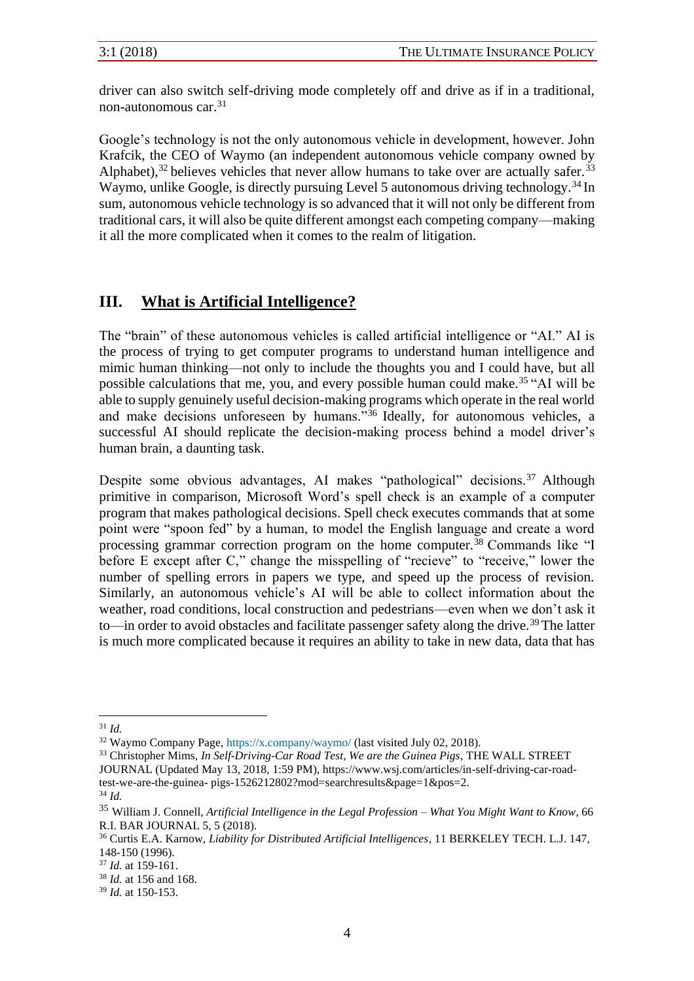driver can also switch self-driving mode completely off and drive as if in a traditional, non-autonomous car.<sup>31</sup>

Google's technology is not the only autonomous vehicle in development, however. John Krafcik, the CEO of Waymo (an independent autonomous vehicle company owned by Alphabet),  $32$  believes vehicles that never allow humans to take over are actually safer.  $33$ Waymo, unlike Google, is directly pursuing Level 5 autonomous driving technology.<sup>34</sup> In sum, autonomous vehicle technology is so advanced that it will not only be different from traditional cars, it will also be quite different amongst each competing company—making it all the more complicated when it comes to the realm of litigation.

#### **III. What is Artificial Intelligence?**

The "brain" of these autonomous vehicles is called artificial intelligence or "AI." AI is the process of trying to get computer programs to understand human intelligence and mimic human thinking—not only to include the thoughts you and I could have, but all possible calculations that me, you, and every possible human could make.<sup>35</sup> "AI will be able to supply genuinely useful decision-making programs which operate in the real world and make decisions unforeseen by humans."<sup>36</sup> Ideally, for autonomous vehicles, a successful AI should replicate the decision-making process behind a model driver's human brain, a daunting task.

Despite some obvious advantages, AI makes "pathological" decisions.<sup>37</sup> Although primitive in comparison, Microsoft Word's spell check is an example of a computer program that makes pathological decisions. Spell check executes commands that at some point were "spoon fed" by a human, to model the English language and create a word processing grammar correction program on the home computer.<sup>38</sup> Commands like "I before E except after C," change the misspelling of "recieve" to "receive," lower the number of spelling errors in papers we type, and speed up the process of revision. Similarly, an autonomous vehicle's AI will be able to collect information about the weather, road conditions, local construction and pedestrians—even when we don't ask it to—in order to avoid obstacles and facilitate passenger safety along the drive.<sup>39</sup> The latter is much more complicated because it requires an ability to take in new data, data that has

<sup>33</sup> Christopher Mims, *In Self-Driving-Car Road Test, We are the Guinea Pigs*, THE WALL STREET JOURNAL (Updated May 13, 2018, 1:59 PM), https://www.wsj.com/articles/in-self-driving-car-roadtest-we-are-the-guinea- pigs-1526212802?mod=searchresults&page=1&pos=2.

<sup>31</sup> *Id.* 

<sup>32</sup> Waymo Company Page, https://x.company/waymo/ (last visited July 02, 2018).

<sup>34</sup> *Id.* 

<sup>35</sup> William J. Connell, *Artificial Intelligence in the Legal Profession – What You Might Want to Know*, 66 R.I. BAR JOURNAL 5, 5 (2018).

<sup>36</sup> Curtis E.A. Karnow, *Liability for Distributed Artificial Intelligences*, 11 BERKELEY TECH. L.J. 147, 148-150 (1996).

<sup>37</sup> *Id.* at 159-161.

<sup>38</sup> *Id.* at 156 and 168.

<sup>39</sup> *Id.* at 150-153.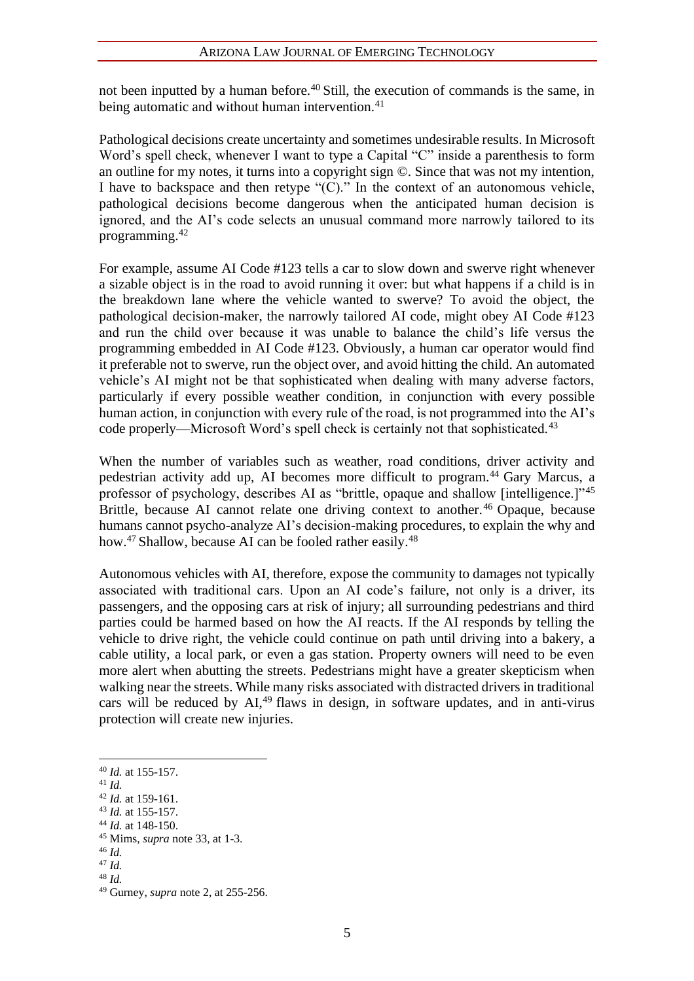#### ARIZONA LAW JOURNAL OF EMERGING TECHNOLOGY

not been inputted by a human before.<sup>40</sup> Still, the execution of commands is the same, in being automatic and without human intervention.<sup>41</sup>

Pathological decisions create uncertainty and sometimes undesirable results. In Microsoft Word's spell check, whenever I want to type a Capital "C" inside a parenthesis to form an outline for my notes, it turns into a copyright sign ©. Since that was not my intention, I have to backspace and then retype "(C)." In the context of an autonomous vehicle, pathological decisions become dangerous when the anticipated human decision is ignored, and the AI's code selects an unusual command more narrowly tailored to its programming.<sup>42</sup>

For example, assume AI Code #123 tells a car to slow down and swerve right whenever a sizable object is in the road to avoid running it over: but what happens if a child is in the breakdown lane where the vehicle wanted to swerve? To avoid the object, the pathological decision-maker, the narrowly tailored AI code, might obey AI Code #123 and run the child over because it was unable to balance the child's life versus the programming embedded in AI Code #123. Obviously, a human car operator would find it preferable not to swerve, run the object over, and avoid hitting the child. An automated vehicle's AI might not be that sophisticated when dealing with many adverse factors, particularly if every possible weather condition, in conjunction with every possible human action, in conjunction with every rule of the road, is not programmed into the AI's code properly—Microsoft Word's spell check is certainly not that sophisticated.<sup>43</sup>

When the number of variables such as weather, road conditions, driver activity and pedestrian activity add up, AI becomes more difficult to program.<sup>44</sup> Gary Marcus, a professor of psychology, describes AI as "brittle, opaque and shallow [intelligence.]"<sup>45</sup> Brittle, because AI cannot relate one driving context to another.<sup>46</sup> Opaque, because humans cannot psycho-analyze AI's decision-making procedures, to explain the why and how.<sup>47</sup> Shallow, because AI can be fooled rather easily.<sup>48</sup>

Autonomous vehicles with AI, therefore, expose the community to damages not typically associated with traditional cars. Upon an AI code's failure, not only is a driver, its passengers, and the opposing cars at risk of injury; all surrounding pedestrians and third parties could be harmed based on how the AI reacts. If the AI responds by telling the vehicle to drive right, the vehicle could continue on path until driving into a bakery, a cable utility, a local park, or even a gas station. Property owners will need to be even more alert when abutting the streets. Pedestrians might have a greater skepticism when walking near the streets. While many risks associated with distracted drivers in traditional cars will be reduced by  $AI^{49}$  flaws in design, in software updates, and in anti-virus protection will create new injuries.

<sup>41</sup> *Id.* 

<sup>40</sup> *Id.* at 155-157.

<sup>42</sup> *Id.* at 159-161.

<sup>43</sup> *Id.* at 155-157.

<sup>44</sup> *Id.* at 148-150.

<sup>45</sup> Mims, *supra* note 33, at 1-3.

<sup>46</sup> *Id.* 

<sup>47</sup> *Id.*

<sup>48</sup> *Id.*

<sup>49</sup> Gurney, *supra* note 2, at 255-256.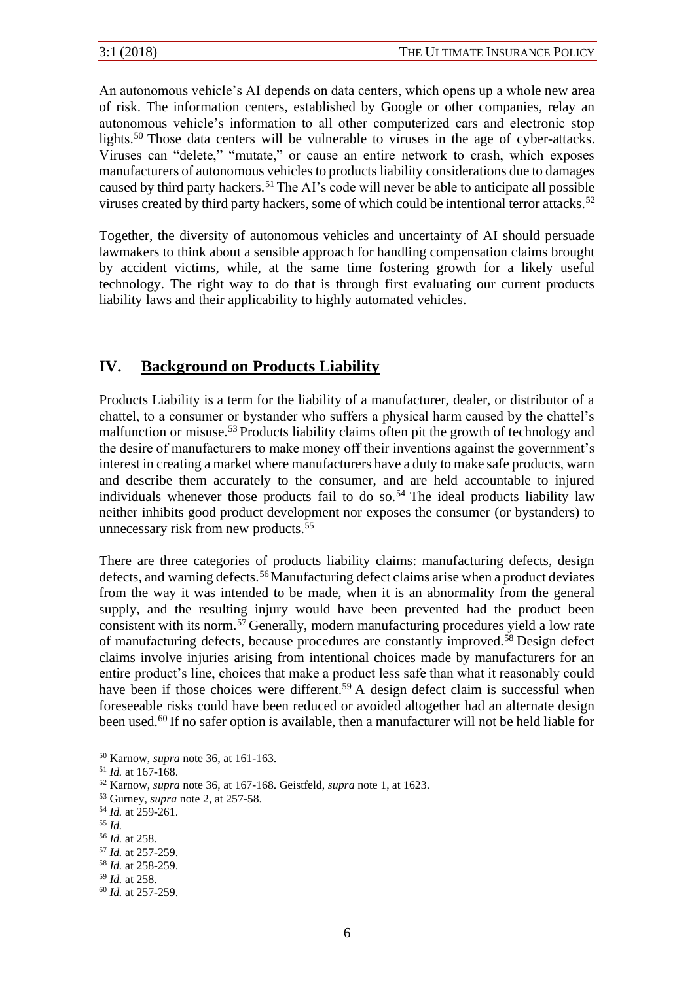An autonomous vehicle's AI depends on data centers, which opens up a whole new area of risk. The information centers, established by Google or other companies, relay an autonomous vehicle's information to all other computerized cars and electronic stop lights.<sup>50</sup> Those data centers will be vulnerable to viruses in the age of cyber-attacks. Viruses can "delete," "mutate," or cause an entire network to crash, which exposes manufacturers of autonomous vehicles to products liability considerations due to damages caused by third party hackers.<sup>51</sup> The AI's code will never be able to anticipate all possible viruses created by third party hackers, some of which could be intentional terror attacks.<sup>52</sup>

Together, the diversity of autonomous vehicles and uncertainty of AI should persuade lawmakers to think about a sensible approach for handling compensation claims brought by accident victims, while, at the same time fostering growth for a likely useful technology. The right way to do that is through first evaluating our current products liability laws and their applicability to highly automated vehicles.

#### **IV. Background on Products Liability**

Products Liability is a term for the liability of a manufacturer, dealer, or distributor of a chattel, to a consumer or bystander who suffers a physical harm caused by the chattel's malfunction or misuse.<sup>53</sup> Products liability claims often pit the growth of technology and the desire of manufacturers to make money off their inventions against the government's interest in creating a market where manufacturers have a duty to make safe products, warn and describe them accurately to the consumer, and are held accountable to injured individuals whenever those products fail to do so.<sup>54</sup> The ideal products liability law neither inhibits good product development nor exposes the consumer (or bystanders) to unnecessary risk from new products.<sup>55</sup>

There are three categories of products liability claims: manufacturing defects, design defects, and warning defects.<sup>56</sup>Manufacturing defect claims arise when a product deviates from the way it was intended to be made, when it is an abnormality from the general supply, and the resulting injury would have been prevented had the product been consistent with its norm.<sup>57</sup> Generally, modern manufacturing procedures yield a low rate of manufacturing defects, because procedures are constantly improved.<sup>58</sup> Design defect claims involve injuries arising from intentional choices made by manufacturers for an entire product's line, choices that make a product less safe than what it reasonably could have been if those choices were different.<sup>59</sup> A design defect claim is successful when foreseeable risks could have been reduced or avoided altogether had an alternate design been used.<sup>60</sup> If no safer option is available, then a manufacturer will not be held liable for

<sup>50</sup> Karnow, *supra* note 36, at 161-163.

<sup>51</sup> *Id.* at 167-168.

<sup>52</sup> Karnow, *supra* note 36, at 167-168. Geistfeld, *supra* note 1, at 1623.

<sup>53</sup> Gurney, *supra* note 2, at 257-58.

<sup>54</sup> *Id.* at 259-261.

<sup>55</sup> *Id.*

<sup>56</sup> *Id.* at 258.

<sup>57</sup> *Id.* at 257-259.

<sup>58</sup> *Id.* at 258-259.

<sup>59</sup> *Id.* at 258.

<sup>60</sup> *Id.* at 257-259.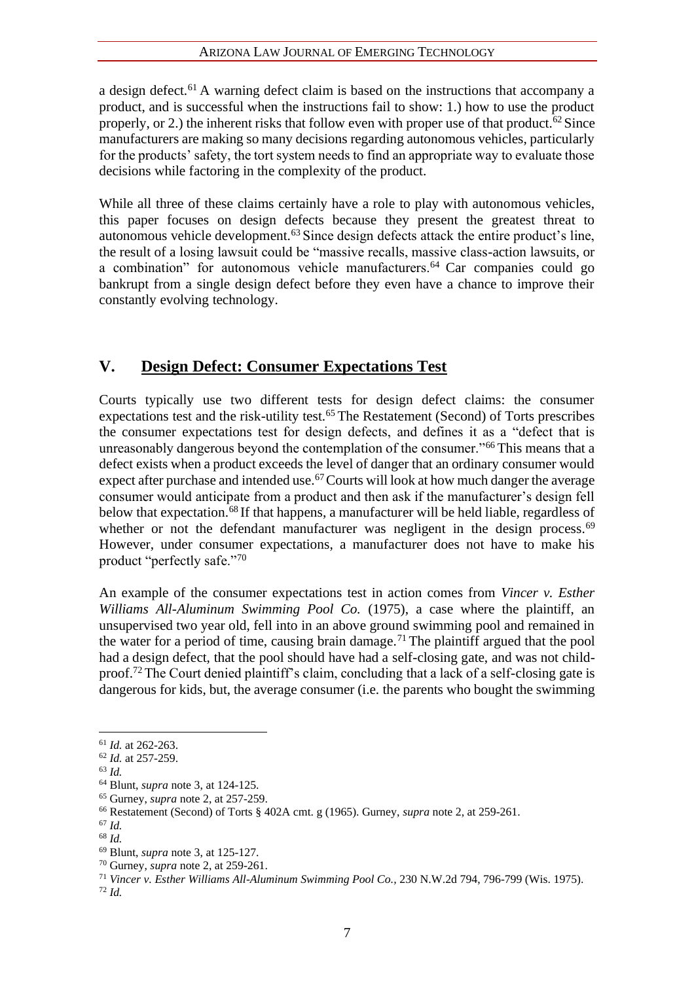#### ARIZONA LAW JOURNAL OF EMERGING TECHNOLOGY

a design defect.<sup>61</sup> A warning defect claim is based on the instructions that accompany a product, and is successful when the instructions fail to show: 1.) how to use the product properly, or 2.) the inherent risks that follow even with proper use of that product.<sup>62</sup> Since manufacturers are making so many decisions regarding autonomous vehicles, particularly for the products' safety, the tort system needs to find an appropriate way to evaluate those decisions while factoring in the complexity of the product.

While all three of these claims certainly have a role to play with autonomous vehicles, this paper focuses on design defects because they present the greatest threat to autonomous vehicle development.<sup>63</sup> Since design defects attack the entire product's line, the result of a losing lawsuit could be "massive recalls, massive class-action lawsuits, or a combination" for autonomous vehicle manufacturers.<sup>64</sup> Car companies could go bankrupt from a single design defect before they even have a chance to improve their constantly evolving technology.

#### **V. Design Defect: Consumer Expectations Test**

Courts typically use two different tests for design defect claims: the consumer expectations test and the risk-utility test.<sup>65</sup> The Restatement (Second) of Torts prescribes the consumer expectations test for design defects, and defines it as a "defect that is unreasonably dangerous beyond the contemplation of the consumer."<sup>66</sup> This means that a defect exists when a product exceeds the level of danger that an ordinary consumer would expect after purchase and intended use.<sup>67</sup> Courts will look at how much danger the average consumer would anticipate from a product and then ask if the manufacturer's design fell below that expectation.<sup>68</sup> If that happens, a manufacturer will be held liable, regardless of whether or not the defendant manufacturer was negligent in the design process.<sup>69</sup> However, under consumer expectations, a manufacturer does not have to make his product "perfectly safe."<sup>70</sup>

An example of the consumer expectations test in action comes from *Vincer v. Esther Williams All-Aluminum Swimming Pool Co.* (1975), a case where the plaintiff, an unsupervised two year old, fell into in an above ground swimming pool and remained in the water for a period of time, causing brain damage.<sup>71</sup> The plaintiff argued that the pool had a design defect, that the pool should have had a self-closing gate, and was not childproof.<sup>72</sup> The Court denied plaintiff's claim, concluding that a lack of a self-closing gate is dangerous for kids, but, the average consumer (i.e. the parents who bought the swimming

<sup>61</sup> *Id.* at 262-263.

<sup>62</sup> *Id.* at 257-259.

<sup>63</sup> *Id.*

<sup>64</sup> Blunt, *supra* note 3, at 124-125.

<sup>65</sup> Gurney, *supra* note 2, at 257-259.

<sup>66</sup> Restatement (Second) of Torts § 402A cmt. g (1965). Gurney, *supra* note 2, at 259-261.

<sup>67</sup> *Id.*

<sup>68</sup> *Id.*

<sup>69</sup> Blunt, *supra* note 3, at 125-127.

<sup>70</sup> Gurney, *supra* note 2, at 259-261.

<sup>71</sup> *Vincer v. Esther Williams All-Aluminum Swimming Pool Co.,* 230 N.W.2d 794, 796-799 (Wis. 1975). <sup>72</sup> *Id.*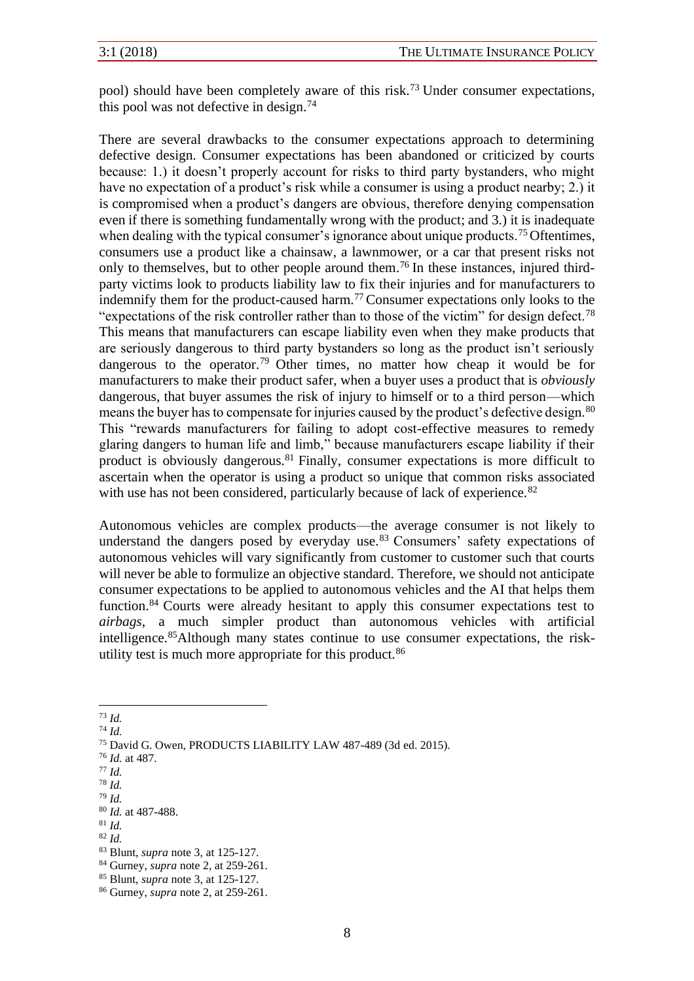pool) should have been completely aware of this risk.<sup>73</sup> Under consumer expectations, this pool was not defective in design.<sup>74</sup>

There are several drawbacks to the consumer expectations approach to determining defective design. Consumer expectations has been abandoned or criticized by courts because: 1.) it doesn't properly account for risks to third party bystanders, who might have no expectation of a product's risk while a consumer is using a product nearby; 2.) it is compromised when a product's dangers are obvious, therefore denying compensation even if there is something fundamentally wrong with the product; and 3.) it is inadequate when dealing with the typical consumer's ignorance about unique products.<sup>75</sup> Oftentimes, consumers use a product like a chainsaw, a lawnmower, or a car that present risks not only to themselves, but to other people around them.<sup>76</sup> In these instances, injured thirdparty victims look to products liability law to fix their injuries and for manufacturers to indemnify them for the product-caused harm.<sup>77</sup> Consumer expectations only looks to the "expectations of the risk controller rather than to those of the victim" for design defect.<sup>78</sup> This means that manufacturers can escape liability even when they make products that are seriously dangerous to third party bystanders so long as the product isn't seriously dangerous to the operator.<sup>79</sup> Other times, no matter how cheap it would be for manufacturers to make their product safer, when a buyer uses a product that is *obviously*  dangerous, that buyer assumes the risk of injury to himself or to a third person—which means the buyer has to compensate for injuries caused by the product's defective design.<sup>80</sup> This "rewards manufacturers for failing to adopt cost-effective measures to remedy glaring dangers to human life and limb," because manufacturers escape liability if their product is obviously dangerous.<sup>81</sup> Finally, consumer expectations is more difficult to ascertain when the operator is using a product so unique that common risks associated with use has not been considered, particularly because of lack of experience.<sup>82</sup>

Autonomous vehicles are complex products—the average consumer is not likely to understand the dangers posed by everyday use. $83$  Consumers' safety expectations of autonomous vehicles will vary significantly from customer to customer such that courts will never be able to formulize an objective standard. Therefore, we should not anticipate consumer expectations to be applied to autonomous vehicles and the AI that helps them function.<sup>84</sup> Courts were already hesitant to apply this consumer expectations test to *airbags*, a much simpler product than autonomous vehicles with artificial intelligence.85Although many states continue to use consumer expectations, the riskutility test is much more appropriate for this product.<sup>86</sup>

<sup>74</sup> *Id.*

<sup>78</sup> *Id.* <sup>79</sup> *Id.*

<sup>82</sup> *Id.*

<sup>73</sup> *Id.*

<sup>75</sup> David G. Owen, PRODUCTS LIABILITY LAW 487-489 (3d ed. 2015).

<sup>76</sup> *Id.* at 487.

<sup>77</sup> *Id.*

<sup>80</sup> *Id.* at 487-488.

<sup>81</sup> *Id.*

<sup>83</sup> Blunt, *supra* note 3, at 125-127.

<sup>84</sup> Gurney, *supra* note 2, at 259-261.

<sup>85</sup> Blunt, *supra* note 3, at 125-127.

<sup>86</sup> Gurney, *supra* note 2, at 259-261.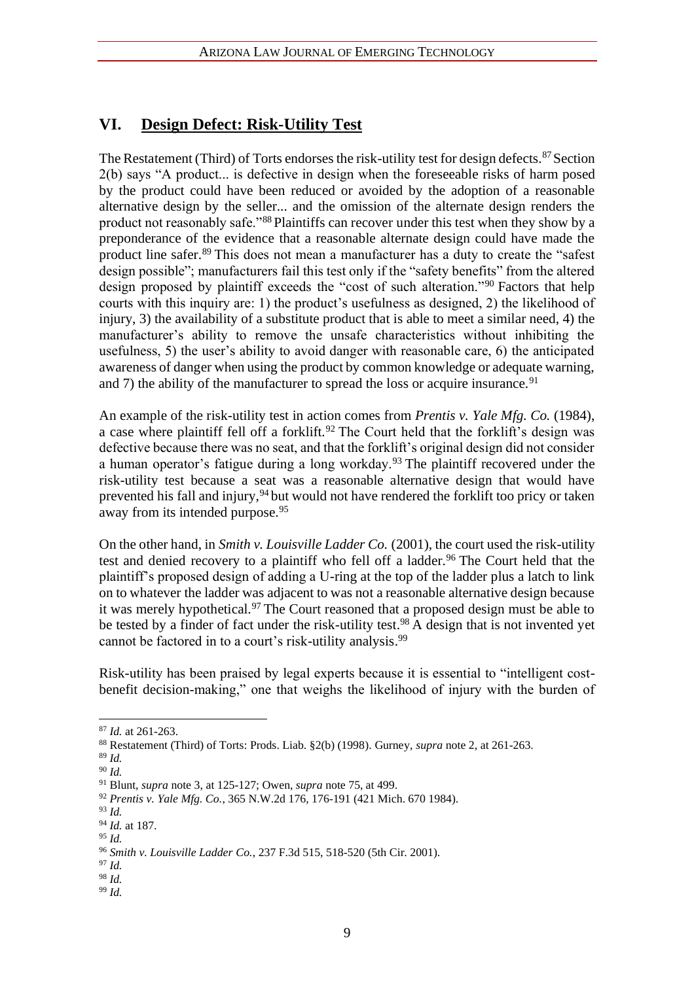#### **VI. Design Defect: Risk-Utility Test**

The Restatement (Third) of Torts endorses the risk-utility test for design defects.<sup>87</sup> Section 2(b) says "A product... is defective in design when the foreseeable risks of harm posed by the product could have been reduced or avoided by the adoption of a reasonable alternative design by the seller... and the omission of the alternate design renders the product not reasonably safe."<sup>88</sup> Plaintiffs can recover under this test when they show by a preponderance of the evidence that a reasonable alternate design could have made the product line safer.<sup>89</sup> This does not mean a manufacturer has a duty to create the "safest" design possible"; manufacturers fail this test only if the "safety benefits" from the altered design proposed by plaintiff exceeds the "cost of such alteration."<sup>90</sup> Factors that help courts with this inquiry are: 1) the product's usefulness as designed, 2) the likelihood of injury, 3) the availability of a substitute product that is able to meet a similar need, 4) the manufacturer's ability to remove the unsafe characteristics without inhibiting the usefulness, 5) the user's ability to avoid danger with reasonable care, 6) the anticipated awareness of danger when using the product by common knowledge or adequate warning, and 7) the ability of the manufacturer to spread the loss or acquire insurance.<sup>91</sup>

An example of the risk-utility test in action comes from *Prentis v. Yale Mfg. Co.* (1984), a case where plaintiff fell off a forklift.<sup>92</sup> The Court held that the forklift's design was defective because there was no seat, and that the forklift's original design did not consider a human operator's fatigue during a long workday.<sup>93</sup> The plaintiff recovered under the risk-utility test because a seat was a reasonable alternative design that would have prevented his fall and injury,<sup>94</sup> but would not have rendered the forklift too pricy or taken away from its intended purpose.<sup>95</sup>

On the other hand, in *Smith v. Louisville Ladder Co.* (2001), the court used the risk-utility test and denied recovery to a plaintiff who fell off a ladder.<sup>96</sup> The Court held that the plaintiff's proposed design of adding a U-ring at the top of the ladder plus a latch to link on to whatever the ladder was adjacent to was not a reasonable alternative design because it was merely hypothetical.<sup>97</sup> The Court reasoned that a proposed design must be able to be tested by a finder of fact under the risk-utility test.<sup>98</sup> A design that is not invented yet cannot be factored in to a court's risk-utility analysis.<sup>99</sup>

Risk-utility has been praised by legal experts because it is essential to "intelligent costbenefit decision-making," one that weighs the likelihood of injury with the burden of

<sup>87</sup> *Id.* at 261-263.

<sup>88</sup> Restatement (Third) of Torts: Prods. Liab. §2(b) (1998). Gurney, *supra* note 2, at 261-263.

<sup>89</sup> *Id.* 

<sup>90</sup> *Id.* 

<sup>91</sup> Blunt, *supra* note 3, at 125-127; Owen, *supra* note 75, at 499.

<sup>92</sup> *Prentis v. Yale Mfg. Co.*, 365 N.W.2d 176, 176-191 (421 Mich. 670 1984).

<sup>93</sup> *Id.*

<sup>94</sup> *Id.* at 187.

<sup>95</sup> *Id.*

<sup>96</sup> *Smith v. Louisville Ladder Co.*, 237 F.3d 515, 518-520 (5th Cir. 2001).

<sup>97</sup> *Id.*

<sup>98</sup> *Id.*

<sup>99</sup> *Id.*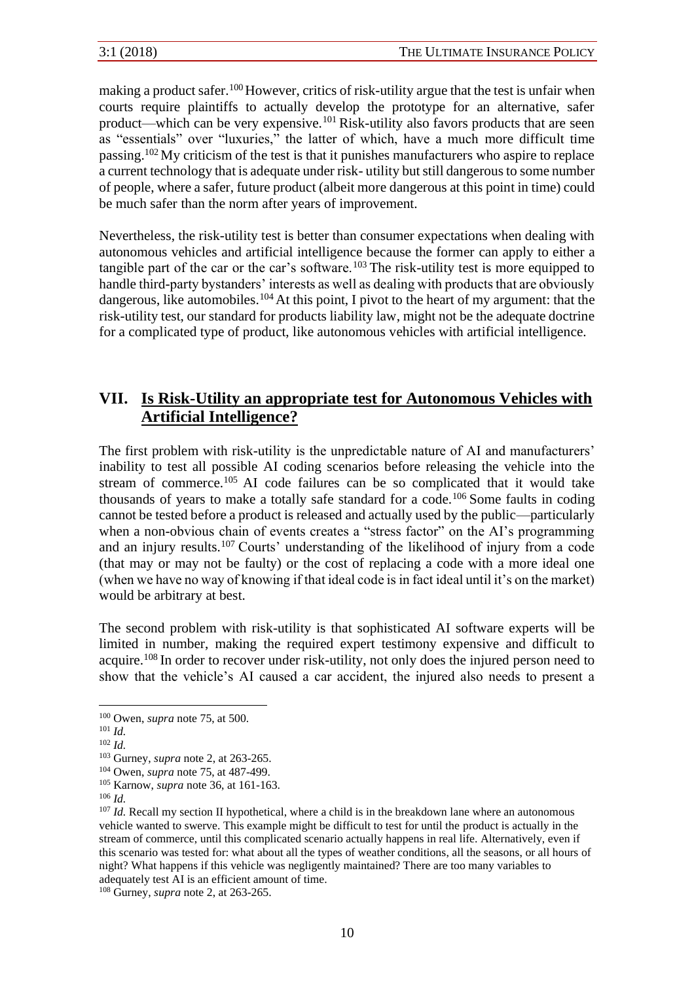making a product safer.<sup>100</sup>However, critics of risk-utility argue that the test is unfair when courts require plaintiffs to actually develop the prototype for an alternative, safer product—which can be very expensive.<sup>101</sup> Risk-utility also favors products that are seen as "essentials" over "luxuries," the latter of which, have a much more difficult time passing.<sup>102</sup>My criticism of the test is that it punishes manufacturers who aspire to replace a current technology that is adequate under risk- utility but still dangerous to some number of people, where a safer, future product (albeit more dangerous at this point in time) could be much safer than the norm after years of improvement.

Nevertheless, the risk-utility test is better than consumer expectations when dealing with autonomous vehicles and artificial intelligence because the former can apply to either a tangible part of the car or the car's software.<sup>103</sup> The risk-utility test is more equipped to handle third-party bystanders' interests as well as dealing with products that are obviously dangerous, like automobiles.<sup>104</sup> At this point, I pivot to the heart of my argument: that the risk-utility test, our standard for products liability law, might not be the adequate doctrine for a complicated type of product, like autonomous vehicles with artificial intelligence.

### **VII. Is Risk-Utility an appropriate test for Autonomous Vehicles with Artificial Intelligence?**

The first problem with risk-utility is the unpredictable nature of AI and manufacturers' inability to test all possible AI coding scenarios before releasing the vehicle into the stream of commerce.<sup>105</sup> AI code failures can be so complicated that it would take thousands of years to make a totally safe standard for a code.<sup>106</sup> Some faults in coding cannot be tested before a product is released and actually used by the public—particularly when a non-obvious chain of events creates a "stress factor" on the AI's programming and an injury results.<sup>107</sup> Courts' understanding of the likelihood of injury from a code (that may or may not be faulty) or the cost of replacing a code with a more ideal one (when we have no way of knowing if that ideal code is in fact ideal until it's on the market) would be arbitrary at best.

The second problem with risk-utility is that sophisticated AI software experts will be limited in number, making the required expert testimony expensive and difficult to acquire.<sup>108</sup> In order to recover under risk-utility, not only does the injured person need to show that the vehicle's AI caused a car accident, the injured also needs to present a

<sup>108</sup> Gurney, *supra* note 2, at 263-265.

<sup>100</sup> Owen, *supra* note 75, at 500.

<sup>101</sup> *Id.*

<sup>102</sup> *Id.*

<sup>103</sup> Gurney, *supra* note 2, at 263-265.

<sup>104</sup> Owen, *supra* note 75, at 487-499.

<sup>105</sup> Karnow, *supra* note 36, at 161-163.

<sup>106</sup> *Id.*

<sup>&</sup>lt;sup>107</sup> *Id.* Recall my section II hypothetical, where a child is in the breakdown lane where an autonomous vehicle wanted to swerve. This example might be difficult to test for until the product is actually in the stream of commerce, until this complicated scenario actually happens in real life. Alternatively, even if this scenario was tested for: what about all the types of weather conditions, all the seasons, or all hours of night? What happens if this vehicle was negligently maintained? There are too many variables to adequately test AI is an efficient amount of time.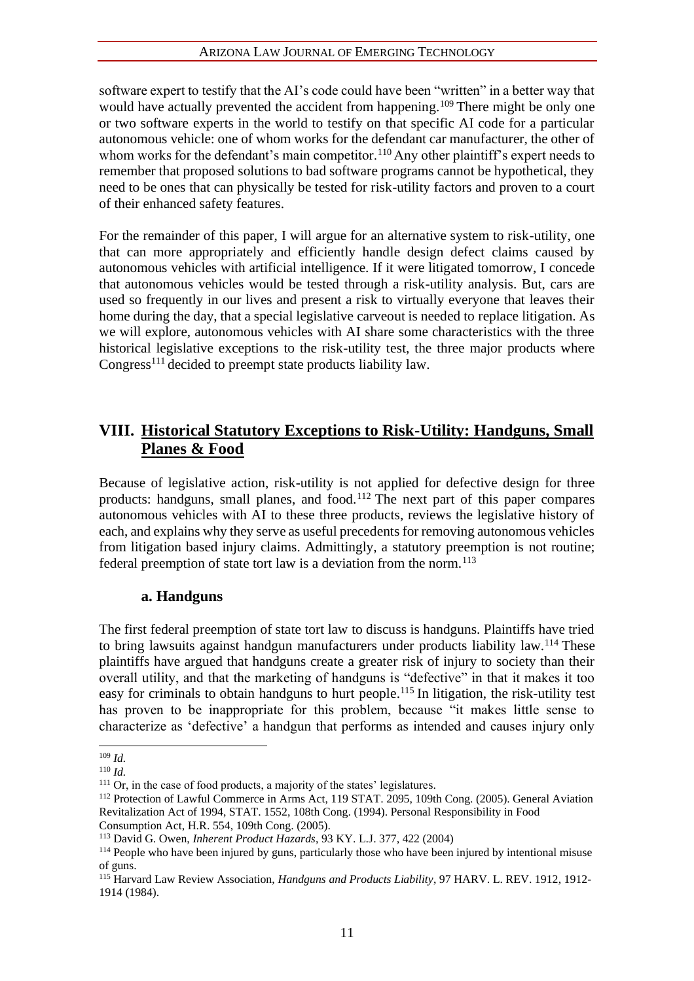#### ARIZONA LAW JOURNAL OF EMERGING TECHNOLOGY

software expert to testify that the AI's code could have been "written" in a better way that would have actually prevented the accident from happening.<sup>109</sup> There might be only one or two software experts in the world to testify on that specific AI code for a particular autonomous vehicle: one of whom works for the defendant car manufacturer, the other of whom works for the defendant's main competitor.<sup>110</sup> Any other plaintiff's expert needs to remember that proposed solutions to bad software programs cannot be hypothetical, they need to be ones that can physically be tested for risk-utility factors and proven to a court of their enhanced safety features.

For the remainder of this paper, I will argue for an alternative system to risk-utility, one that can more appropriately and efficiently handle design defect claims caused by autonomous vehicles with artificial intelligence. If it were litigated tomorrow, I concede that autonomous vehicles would be tested through a risk-utility analysis. But, cars are used so frequently in our lives and present a risk to virtually everyone that leaves their home during the day, that a special legislative carveout is needed to replace litigation. As we will explore, autonomous vehicles with AI share some characteristics with the three historical legislative exceptions to the risk-utility test, the three major products where Congress<sup>111</sup> decided to preempt state products liability law.

#### **VIII. Historical Statutory Exceptions to Risk-Utility: Handguns, Small Planes & Food**

Because of legislative action, risk-utility is not applied for defective design for three products: handguns, small planes, and food.<sup>112</sup> The next part of this paper compares autonomous vehicles with AI to these three products, reviews the legislative history of each, and explains why they serve as useful precedents for removing autonomous vehicles from litigation based injury claims. Admittingly, a statutory preemption is not routine; federal preemption of state tort law is a deviation from the norm.<sup>113</sup>

#### **a. Handguns**

The first federal preemption of state tort law to discuss is handguns. Plaintiffs have tried to bring lawsuits against handgun manufacturers under products liability law.<sup>114</sup> These plaintiffs have argued that handguns create a greater risk of injury to society than their overall utility, and that the marketing of handguns is "defective" in that it makes it too easy for criminals to obtain handguns to hurt people.<sup>115</sup> In litigation, the risk-utility test has proven to be inappropriate for this problem, because "it makes little sense to characterize as 'defective' a handgun that performs as intended and causes injury only

<sup>109</sup> *Id.*

<sup>110</sup> *Id.*

<sup>&</sup>lt;sup>111</sup> Or, in the case of food products, a majority of the states' legislatures.

<sup>112</sup> Protection of Lawful Commerce in Arms Act, 119 STAT. 2095, 109th Cong. (2005). General Aviation Revitalization Act of 1994, STAT. 1552, 108th Cong. (1994). Personal Responsibility in Food

Consumption Act, H.R. 554, 109th Cong. (2005).

<sup>113</sup> David G. Owen, *Inherent Product Hazards*, 93 KY. L.J. 377, 422 (2004)

<sup>&</sup>lt;sup>114</sup> People who have been injured by guns, particularly those who have been injured by intentional misuse of guns.

<sup>115</sup> Harvard Law Review Association, *Handguns and Products Liability*, 97 HARV. L. REV. 1912, 1912- 1914 (1984).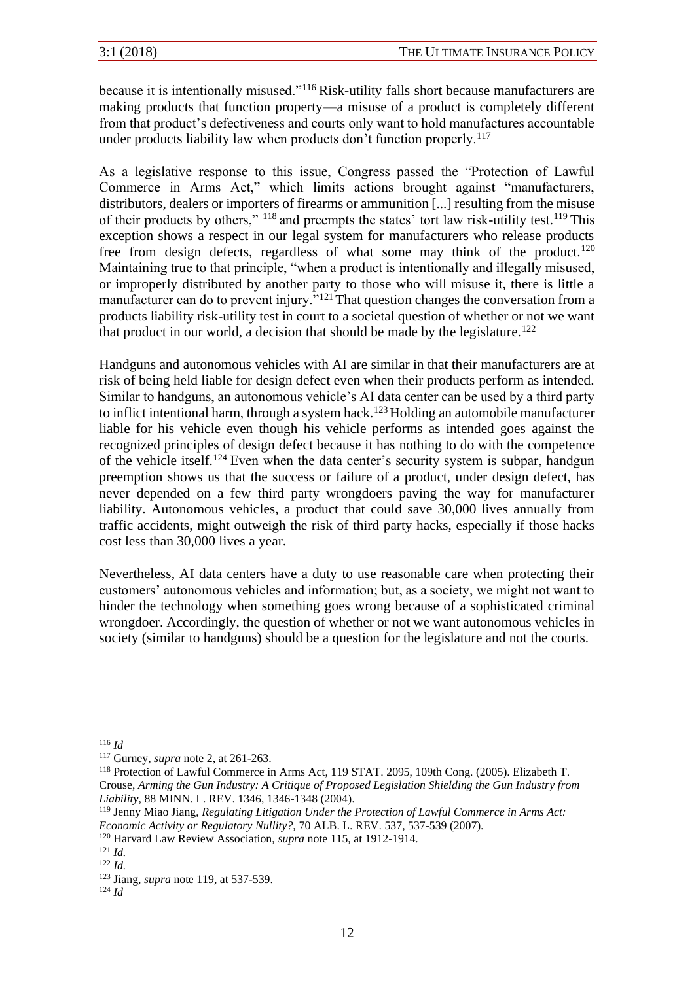because it is intentionally misused."<sup>116</sup> Risk-utility falls short because manufacturers are making products that function property—a misuse of a product is completely different from that product's defectiveness and courts only want to hold manufactures accountable under products liability law when products don't function properly.<sup>117</sup>

As a legislative response to this issue, Congress passed the "Protection of Lawful Commerce in Arms Act," which limits actions brought against "manufacturers, distributors, dealers or importers of firearms or ammunition [...] resulting from the misuse of their products by others," <sup>118</sup> and preempts the states' tort law risk-utility test.<sup>119</sup> This exception shows a respect in our legal system for manufacturers who release products free from design defects, regardless of what some may think of the product.<sup>120</sup> Maintaining true to that principle, "when a product is intentionally and illegally misused, or improperly distributed by another party to those who will misuse it, there is little a manufacturer can do to prevent injury."<sup>121</sup> That question changes the conversation from a products liability risk-utility test in court to a societal question of whether or not we want that product in our world, a decision that should be made by the legislature.<sup>122</sup>

Handguns and autonomous vehicles with AI are similar in that their manufacturers are at risk of being held liable for design defect even when their products perform as intended. Similar to handguns, an autonomous vehicle's AI data center can be used by a third party to inflict intentional harm, through a system hack.<sup>123</sup> Holding an automobile manufacturer liable for his vehicle even though his vehicle performs as intended goes against the recognized principles of design defect because it has nothing to do with the competence of the vehicle itself.<sup>124</sup> Even when the data center's security system is subpar, handgun preemption shows us that the success or failure of a product, under design defect, has never depended on a few third party wrongdoers paving the way for manufacturer liability. Autonomous vehicles, a product that could save 30,000 lives annually from traffic accidents, might outweigh the risk of third party hacks, especially if those hacks cost less than 30,000 lives a year.

Nevertheless, AI data centers have a duty to use reasonable care when protecting their customers' autonomous vehicles and information; but, as a society, we might not want to hinder the technology when something goes wrong because of a sophisticated criminal wrongdoer. Accordingly, the question of whether or not we want autonomous vehicles in society (similar to handguns) should be a question for the legislature and not the courts.

<sup>120</sup> Harvard Law Review Association, *supra* note 115, at 1912-1914.

<sup>116</sup> *Id*

<sup>117</sup> Gurney, *supra* note 2, at 261-263.

<sup>118</sup> Protection of Lawful Commerce in Arms Act, 119 STAT. 2095, 109th Cong. (2005). Elizabeth T. Crouse, *Arming the Gun Industry: A Critique of Proposed Legislation Shielding the Gun Industry from Liability*, 88 MINN. L. REV. 1346, 1346-1348 (2004).

<sup>119</sup> Jenny Miao Jiang, *Regulating Litigation Under the Protection of Lawful Commerce in Arms Act: Economic Activity or Regulatory Nullity?,* 70 ALB. L. REV. 537, 537-539 (2007).

<sup>121</sup> *Id.* 

<sup>122</sup> *Id.* 

<sup>123</sup> Jiang, *supra* note 119, at 537-539.

<sup>124</sup> *Id*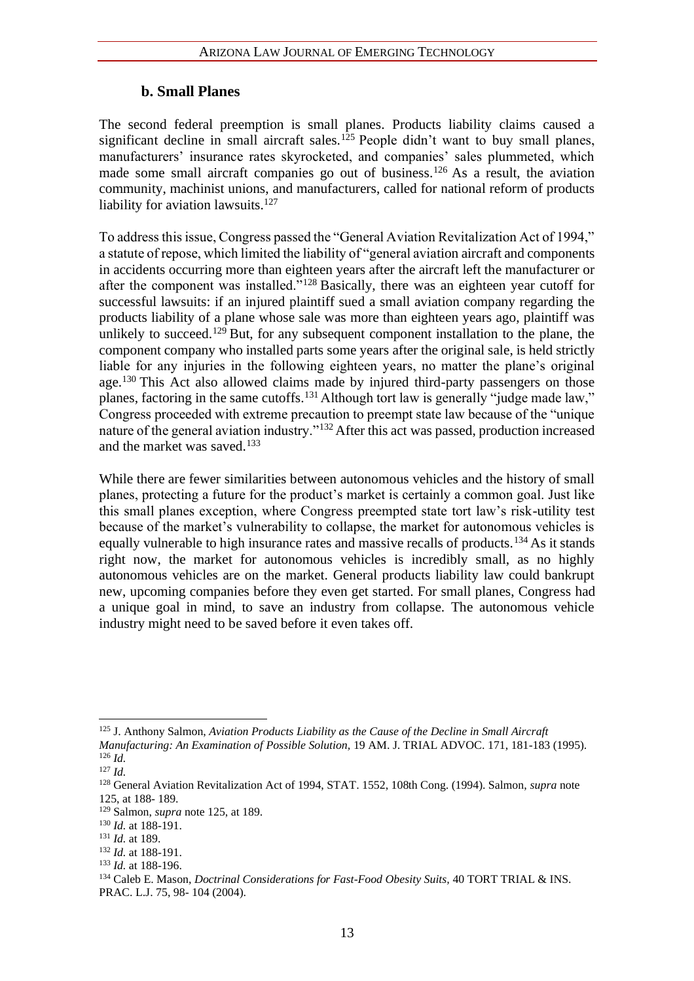#### **b. Small Planes**

The second federal preemption is small planes. Products liability claims caused a significant decline in small aircraft sales.<sup>125</sup> People didn't want to buy small planes, manufacturers' insurance rates skyrocketed, and companies' sales plummeted, which made some small aircraft companies go out of business.<sup>126</sup> As a result, the aviation community, machinist unions, and manufacturers, called for national reform of products liability for aviation lawsuits. $127$ 

To address this issue, Congress passed the "General Aviation Revitalization Act of 1994," a statute of repose, which limited the liability of "general aviation aircraft and components in accidents occurring more than eighteen years after the aircraft left the manufacturer or after the component was installed."<sup>128</sup> Basically, there was an eighteen year cutoff for successful lawsuits: if an injured plaintiff sued a small aviation company regarding the products liability of a plane whose sale was more than eighteen years ago, plaintiff was unlikely to succeed.<sup>129</sup> But, for any subsequent component installation to the plane, the component company who installed parts some years after the original sale, is held strictly liable for any injuries in the following eighteen years, no matter the plane's original age.<sup>130</sup> This Act also allowed claims made by injured third-party passengers on those planes, factoring in the same cutoffs.<sup>131</sup> Although tort law is generally "judge made law," Congress proceeded with extreme precaution to preempt state law because of the "unique nature of the general aviation industry."<sup>132</sup> After this act was passed, production increased and the market was saved.<sup>133</sup>

While there are fewer similarities between autonomous vehicles and the history of small planes, protecting a future for the product's market is certainly a common goal. Just like this small planes exception, where Congress preempted state tort law's risk-utility test because of the market's vulnerability to collapse, the market for autonomous vehicles is equally vulnerable to high insurance rates and massive recalls of products.<sup>134</sup> As it stands right now, the market for autonomous vehicles is incredibly small, as no highly autonomous vehicles are on the market. General products liability law could bankrupt new, upcoming companies before they even get started. For small planes, Congress had a unique goal in mind, to save an industry from collapse. The autonomous vehicle industry might need to be saved before it even takes off.

<sup>125</sup> J. Anthony Salmon, *Aviation Products Liability as the Cause of the Decline in Small Aircraft Manufacturing: An Examination of Possible Solution,* 19 AM. J. TRIAL ADVOC. 171, 181-183 (1995). <sup>126</sup> *Id.* 

<sup>127</sup> *Id.*

<sup>128</sup> General Aviation Revitalization Act of 1994, STAT. 1552, 108th Cong. (1994). Salmon, *supra* note 125, at 188- 189.

<sup>129</sup> Salmon, *supra* note 125, at 189.

<sup>130</sup> *Id.* at 188-191.

<sup>131</sup> *Id.* at 189.

<sup>132</sup> *Id.* at 188-191.

<sup>133</sup> *Id.* at 188-196.

<sup>134</sup> Caleb E. Mason, *Doctrinal Considerations for Fast-Food Obesity Suits,* 40 TORT TRIAL & INS. PRAC. L.J. 75, 98- 104 (2004).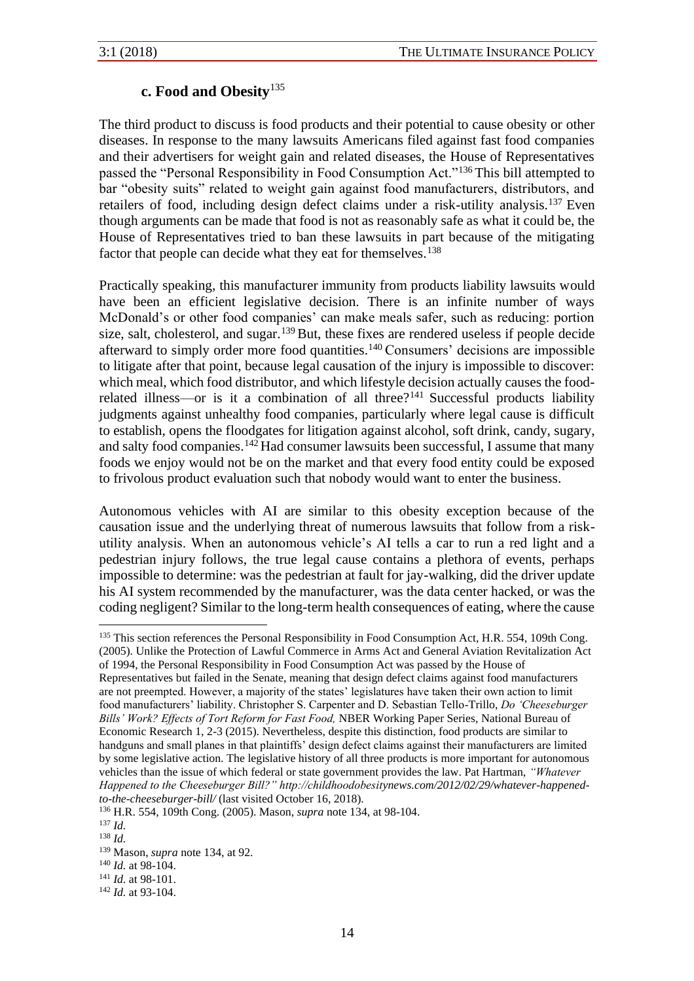#### **c. Food and Obesity**<sup>135</sup>

The third product to discuss is food products and their potential to cause obesity or other diseases. In response to the many lawsuits Americans filed against fast food companies and their advertisers for weight gain and related diseases, the House of Representatives passed the "Personal Responsibility in Food Consumption Act."<sup>136</sup> This bill attempted to bar "obesity suits" related to weight gain against food manufacturers, distributors, and retailers of food, including design defect claims under a risk-utility analysis.<sup>137</sup> Even though arguments can be made that food is not as reasonably safe as what it could be, the House of Representatives tried to ban these lawsuits in part because of the mitigating factor that people can decide what they eat for themselves.<sup>138</sup>

Practically speaking, this manufacturer immunity from products liability lawsuits would have been an efficient legislative decision. There is an infinite number of ways McDonald's or other food companies' can make meals safer, such as reducing: portion size, salt, cholesterol, and sugar.<sup>139</sup>But, these fixes are rendered useless if people decide afterward to simply order more food quantities.<sup>140</sup> Consumers' decisions are impossible to litigate after that point, because legal causation of the injury is impossible to discover: which meal, which food distributor, and which lifestyle decision actually causes the foodrelated illness—or is it a combination of all three? $141$  Successful products liability judgments against unhealthy food companies, particularly where legal cause is difficult to establish, opens the floodgates for litigation against alcohol, soft drink, candy, sugary, and salty food companies.<sup>142</sup> Had consumer lawsuits been successful, I assume that many foods we enjoy would not be on the market and that every food entity could be exposed to frivolous product evaluation such that nobody would want to enter the business.

Autonomous vehicles with AI are similar to this obesity exception because of the causation issue and the underlying threat of numerous lawsuits that follow from a riskutility analysis. When an autonomous vehicle's AI tells a car to run a red light and a pedestrian injury follows, the true legal cause contains a plethora of events, perhaps impossible to determine: was the pedestrian at fault for jay-walking, did the driver update his AI system recommended by the manufacturer, was the data center hacked, or was the coding negligent? Similar to the long-term health consequences of eating, where the cause

<sup>&</sup>lt;sup>135</sup> This section references the Personal Responsibility in Food Consumption Act, H.R. 554, 109th Cong. (2005). Unlike the Protection of Lawful Commerce in Arms Act and General Aviation Revitalization Act of 1994, the Personal Responsibility in Food Consumption Act was passed by the House of

Representatives but failed in the Senate, meaning that design defect claims against food manufacturers are not preempted. However, a majority of the states' legislatures have taken their own action to limit food manufacturers' liability. Christopher S. Carpenter and D. Sebastian Tello-Trillo, *Do 'Cheeseburger Bills' Work? Effects of Tort Reform for Fast Food,* NBER Working Paper Series, National Bureau of Economic Research 1, 2-3 (2015). Nevertheless, despite this distinction, food products are similar to handguns and small planes in that plaintiffs' design defect claims against their manufacturers are limited by some legislative action. The legislative history of all three products is more important for autonomous vehicles than the issue of which federal or state government provides the law. Pat Hartman, *"Whatever Happened to the Cheeseburger Bill?" http://childhoodobesitynews.com/2012/02/29/whatever-happenedto-the-cheeseburger-bill/* (last visited October 16, 2018).

<sup>136</sup> H.R. 554, 109th Cong. (2005). Mason, *supra* note 134, at 98-104.

 $137$  *Id.* 

 $138$  *Id.* 

<sup>139</sup> Mason, *supra* note 134, at 92.

<sup>140</sup> *Id.* at 98-104.

<sup>141</sup> *Id.* at 98-101.

<sup>142</sup> *Id.* at 93-104.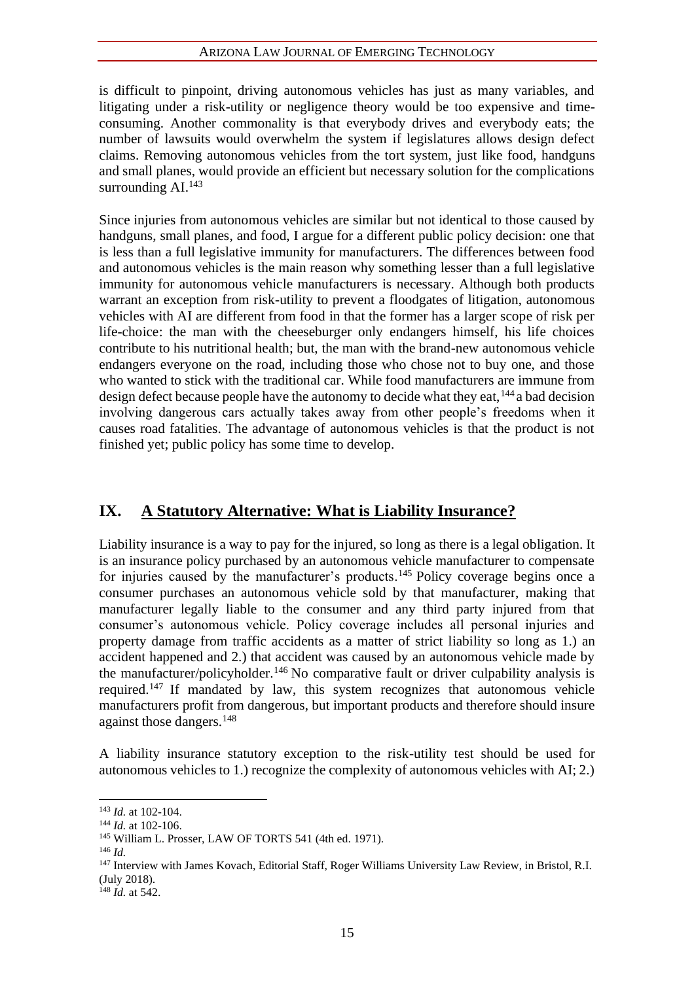is difficult to pinpoint, driving autonomous vehicles has just as many variables, and litigating under a risk-utility or negligence theory would be too expensive and timeconsuming. Another commonality is that everybody drives and everybody eats; the number of lawsuits would overwhelm the system if legislatures allows design defect claims. Removing autonomous vehicles from the tort system, just like food, handguns and small planes, would provide an efficient but necessary solution for the complications surrounding  $AI.<sup>143</sup>$ 

Since injuries from autonomous vehicles are similar but not identical to those caused by handguns, small planes, and food, I argue for a different public policy decision: one that is less than a full legislative immunity for manufacturers. The differences between food and autonomous vehicles is the main reason why something lesser than a full legislative immunity for autonomous vehicle manufacturers is necessary. Although both products warrant an exception from risk-utility to prevent a floodgates of litigation, autonomous vehicles with AI are different from food in that the former has a larger scope of risk per life-choice: the man with the cheeseburger only endangers himself, his life choices contribute to his nutritional health; but, the man with the brand-new autonomous vehicle endangers everyone on the road, including those who chose not to buy one, and those who wanted to stick with the traditional car. While food manufacturers are immune from design defect because people have the autonomy to decide what they eat,  $144$  a bad decision involving dangerous cars actually takes away from other people's freedoms when it causes road fatalities. The advantage of autonomous vehicles is that the product is not finished yet; public policy has some time to develop.

#### **IX. A Statutory Alternative: What is Liability Insurance?**

Liability insurance is a way to pay for the injured, so long as there is a legal obligation. It is an insurance policy purchased by an autonomous vehicle manufacturer to compensate for injuries caused by the manufacturer's products.<sup>145</sup> Policy coverage begins once a consumer purchases an autonomous vehicle sold by that manufacturer, making that manufacturer legally liable to the consumer and any third party injured from that consumer's autonomous vehicle. Policy coverage includes all personal injuries and property damage from traffic accidents as a matter of strict liability so long as 1.) an accident happened and 2.) that accident was caused by an autonomous vehicle made by the manufacturer/policyholder.<sup>146</sup> No comparative fault or driver culpability analysis is required.<sup>147</sup> If mandated by law, this system recognizes that autonomous vehicle manufacturers profit from dangerous, but important products and therefore should insure against those dangers.<sup>148</sup>

A liability insurance statutory exception to the risk-utility test should be used for autonomous vehicles to 1.) recognize the complexity of autonomous vehicles with AI; 2.)

<sup>143</sup> *Id.* at 102-104.

<sup>144</sup> *Id.* at 102-106.

<sup>145</sup> William L. Prosser, LAW OF TORTS 541 (4th ed. 1971).

<sup>146</sup> *Id.*

<sup>&</sup>lt;sup>147</sup> Interview with James Kovach, Editorial Staff, Roger Williams University Law Review, in Bristol, R.I. (July 2018).

<sup>148</sup> *Id.* at 542.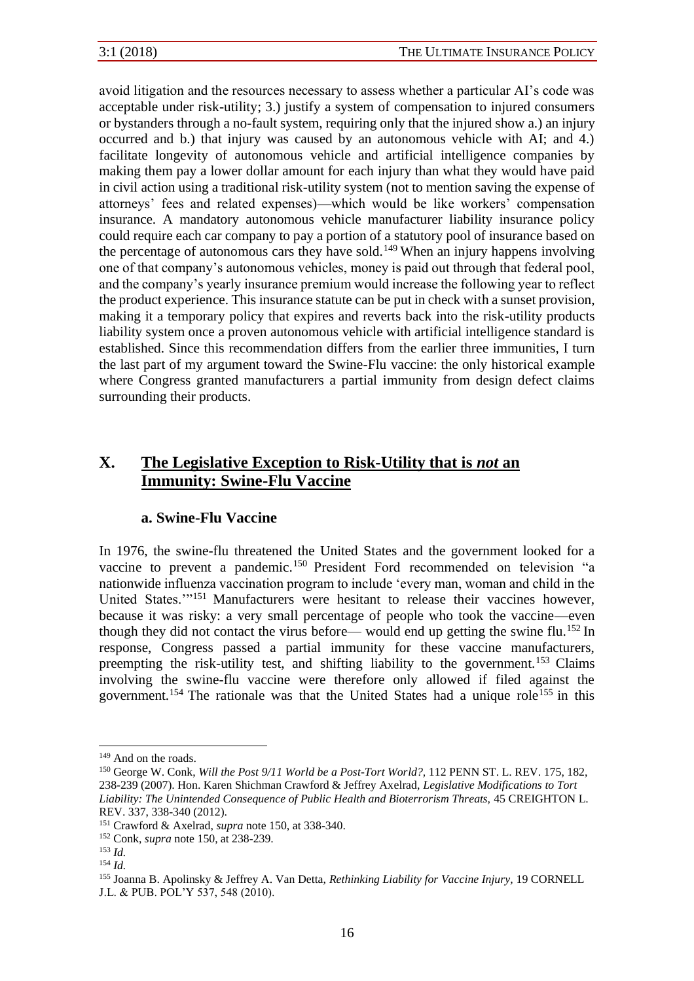avoid litigation and the resources necessary to assess whether a particular AI's code was acceptable under risk-utility; 3.) justify a system of compensation to injured consumers or bystanders through a no-fault system, requiring only that the injured show a.) an injury occurred and b.) that injury was caused by an autonomous vehicle with AI; and 4.) facilitate longevity of autonomous vehicle and artificial intelligence companies by making them pay a lower dollar amount for each injury than what they would have paid in civil action using a traditional risk-utility system (not to mention saving the expense of attorneys' fees and related expenses)—which would be like workers' compensation insurance. A mandatory autonomous vehicle manufacturer liability insurance policy could require each car company to pay a portion of a statutory pool of insurance based on the percentage of autonomous cars they have sold.<sup>149</sup> When an injury happens involving one of that company's autonomous vehicles, money is paid out through that federal pool, and the company's yearly insurance premium would increase the following year to reflect the product experience. This insurance statute can be put in check with a sunset provision, making it a temporary policy that expires and reverts back into the risk-utility products liability system once a proven autonomous vehicle with artificial intelligence standard is established. Since this recommendation differs from the earlier three immunities, I turn the last part of my argument toward the Swine-Flu vaccine: the only historical example where Congress granted manufacturers a partial immunity from design defect claims surrounding their products.

## **X. The Legislative Exception to Risk-Utility that is** *not* **an Immunity: Swine-Flu Vaccine**

#### **a. Swine-Flu Vaccine**

In 1976, the swine-flu threatened the United States and the government looked for a vaccine to prevent a pandemic.<sup>150</sup> President Ford recommended on television "a nationwide influenza vaccination program to include 'every man, woman and child in the United States.'"<sup>151</sup> Manufacturers were hesitant to release their vaccines however, because it was risky: a very small percentage of people who took the vaccine—even though they did not contact the virus before— would end up getting the swine flu.<sup>152</sup> In response, Congress passed a partial immunity for these vaccine manufacturers, preempting the risk-utility test, and shifting liability to the government.<sup>153</sup> Claims involving the swine-flu vaccine were therefore only allowed if filed against the government.<sup>154</sup> The rationale was that the United States had a unique role<sup>155</sup> in this

<sup>&</sup>lt;sup>149</sup> And on the roads.

<sup>150</sup> George W. Conk, *Will the Post 9/11 World be a Post-Tort World?,* 112 PENN ST. L. REV. 175, 182, 238-239 (2007). Hon. Karen Shichman Crawford & Jeffrey Axelrad, *Legislative Modifications to Tort Liability: The Unintended Consequence of Public Health and Bioterrorism Threats,* 45 CREIGHTON L. REV. 337, 338-340 (2012).

<sup>151</sup> Crawford & Axelrad, *supra* note 150, at 338-340.

<sup>152</sup> Conk, *supra* note 150, at 238-239.

 $153$  *Id.* 

<sup>154</sup> *Id.*

<sup>155</sup> Joanna B. Apolinsky & Jeffrey A. Van Detta, *Rethinking Liability for Vaccine Injury,* 19 CORNELL J.L. & PUB. POL'Y 537, 548 (2010).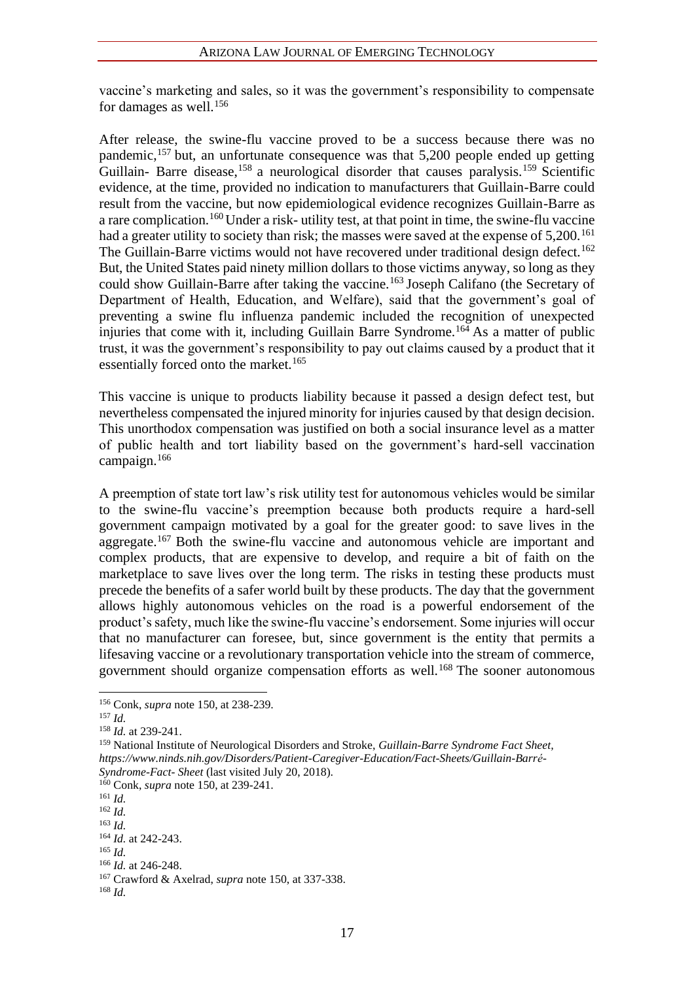vaccine's marketing and sales, so it was the government's responsibility to compensate for damages as well.<sup>156</sup>

After release, the swine-flu vaccine proved to be a success because there was no pandemic,<sup>157</sup> but, an unfortunate consequence was that 5,200 people ended up getting Guillain- Barre disease,<sup>158</sup> a neurological disorder that causes paralysis.<sup>159</sup> Scientific evidence, at the time, provided no indication to manufacturers that Guillain-Barre could result from the vaccine, but now epidemiological evidence recognizes Guillain-Barre as a rare complication.<sup>160</sup> Under a risk- utility test, at that point in time, the swine-flu vaccine had a greater utility to society than risk; the masses were saved at the expense of 5,200.<sup>161</sup> The Guillain-Barre victims would not have recovered under traditional design defect.<sup>162</sup> But, the United States paid ninety million dollars to those victims anyway, so long as they could show Guillain-Barre after taking the vaccine.<sup>163</sup> Joseph Califano (the Secretary of Department of Health, Education, and Welfare), said that the government's goal of preventing a swine flu influenza pandemic included the recognition of unexpected injuries that come with it, including Guillain Barre Syndrome.<sup>164</sup> As a matter of public trust, it was the government's responsibility to pay out claims caused by a product that it essentially forced onto the market. $165$ 

This vaccine is unique to products liability because it passed a design defect test, but nevertheless compensated the injured minority for injuries caused by that design decision. This unorthodox compensation was justified on both a social insurance level as a matter of public health and tort liability based on the government's hard-sell vaccination campaign.<sup>166</sup>

A preemption of state tort law's risk utility test for autonomous vehicles would be similar to the swine-flu vaccine's preemption because both products require a hard-sell government campaign motivated by a goal for the greater good: to save lives in the aggregate.<sup>167</sup> Both the swine-flu vaccine and autonomous vehicle are important and complex products, that are expensive to develop, and require a bit of faith on the marketplace to save lives over the long term. The risks in testing these products must precede the benefits of a safer world built by these products. The day that the government allows highly autonomous vehicles on the road is a powerful endorsement of the product's safety, much like the swine-flu vaccine's endorsement. Some injuries will occur that no manufacturer can foresee, but, since government is the entity that permits a lifesaving vaccine or a revolutionary transportation vehicle into the stream of commerce, government should organize compensation efforts as well.<sup>168</sup> The sooner autonomous

<sup>166</sup> *Id.* at 246-248.

<sup>156</sup> Conk, *supra* note 150, at 238-239.

<sup>157</sup> *Id.*

<sup>158</sup> *Id.* at 239-241.

<sup>159</sup> National Institute of Neurological Disorders and Stroke, *Guillain-Barre Syndrome Fact Sheet, https://www.ninds.nih.gov/Disorders/Patient-Caregiver-Education/Fact-Sheets/Guillain-Barré- Syndrome-Fact- Sheet* (last visited July 20, 2018).

<sup>160</sup> Conk, *supra* note 150, at 239-241.

<sup>161</sup> *Id.*

<sup>162</sup> *Id.*

<sup>163</sup> *Id.*

<sup>164</sup> *Id.* at 242-243.

<sup>165</sup> *Id.*

<sup>167</sup> Crawford & Axelrad, *supra* note 150, at 337-338.

<sup>168</sup> *Id.*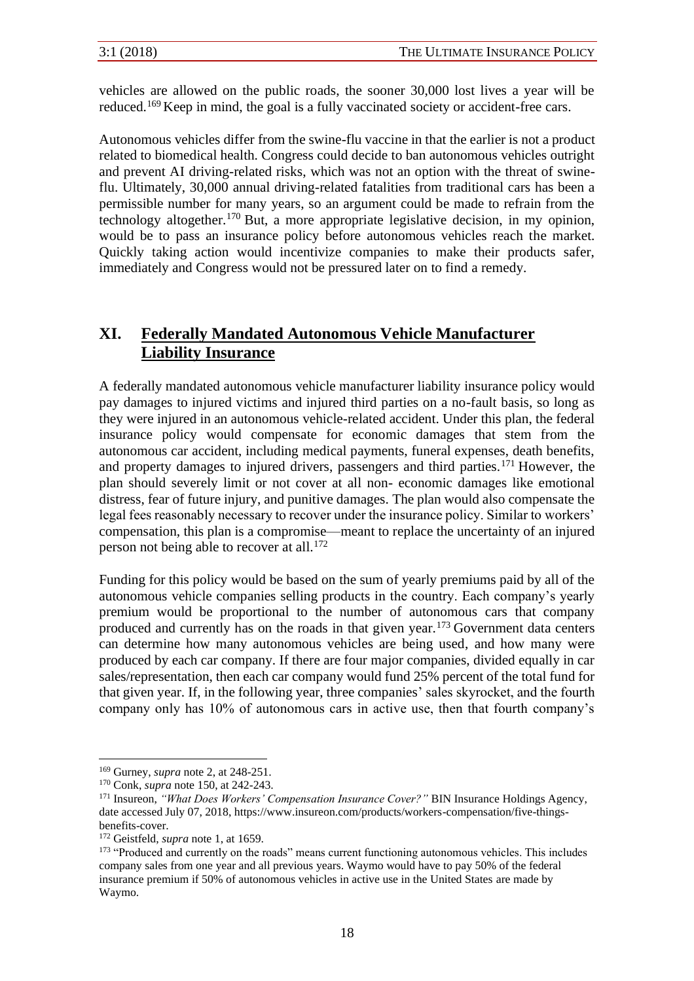vehicles are allowed on the public roads, the sooner 30,000 lost lives a year will be reduced.<sup>169</sup> Keep in mind, the goal is a fully vaccinated society or accident-free cars.

Autonomous vehicles differ from the swine-flu vaccine in that the earlier is not a product related to biomedical health. Congress could decide to ban autonomous vehicles outright and prevent AI driving-related risks, which was not an option with the threat of swineflu. Ultimately, 30,000 annual driving-related fatalities from traditional cars has been a permissible number for many years, so an argument could be made to refrain from the technology altogether.<sup>170</sup> But, a more appropriate legislative decision, in my opinion, would be to pass an insurance policy before autonomous vehicles reach the market. Quickly taking action would incentivize companies to make their products safer, immediately and Congress would not be pressured later on to find a remedy.

#### **XI. Federally Mandated Autonomous Vehicle Manufacturer Liability Insurance**

A federally mandated autonomous vehicle manufacturer liability insurance policy would pay damages to injured victims and injured third parties on a no-fault basis, so long as they were injured in an autonomous vehicle-related accident. Under this plan, the federal insurance policy would compensate for economic damages that stem from the autonomous car accident, including medical payments, funeral expenses, death benefits, and property damages to injured drivers, passengers and third parties.<sup>171</sup> However, the plan should severely limit or not cover at all non- economic damages like emotional distress, fear of future injury, and punitive damages. The plan would also compensate the legal fees reasonably necessary to recover under the insurance policy. Similar to workers' compensation, this plan is a compromise—meant to replace the uncertainty of an injured person not being able to recover at all.<sup>172</sup>

Funding for this policy would be based on the sum of yearly premiums paid by all of the autonomous vehicle companies selling products in the country. Each company's yearly premium would be proportional to the number of autonomous cars that company produced and currently has on the roads in that given year.<sup>173</sup> Government data centers can determine how many autonomous vehicles are being used, and how many were produced by each car company. If there are four major companies, divided equally in car sales/representation, then each car company would fund 25% percent of the total fund for that given year. If, in the following year, three companies' sales skyrocket, and the fourth company only has 10% of autonomous cars in active use, then that fourth company's

<sup>169</sup> Gurney, *supra* note 2, at 248-251.

<sup>170</sup> Conk, *supra* note 150, at 242-243.

<sup>171</sup> Insureon, *"What Does Workers' Compensation Insurance Cover?"* BIN Insurance Holdings Agency, date accessed July 07, 2018, https://www.insureon.com/products/workers-compensation/five-thingsbenefits-cover.

<sup>172</sup> Geistfeld, *supra* note 1, at 1659.

<sup>&</sup>lt;sup>173</sup> "Produced and currently on the roads" means current functioning autonomous vehicles. This includes company sales from one year and all previous years. Waymo would have to pay 50% of the federal insurance premium if 50% of autonomous vehicles in active use in the United States are made by Waymo.